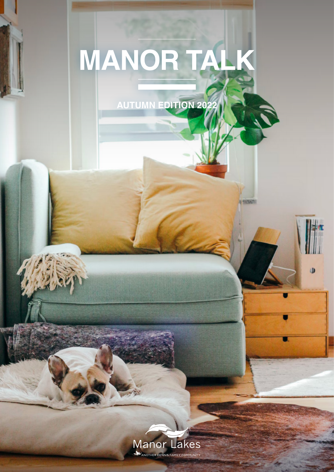# **MANOR TAL**

**AUTUMN EDITION 2022**

C.

 $\mathbf{D}$ 

**U SHORES** 

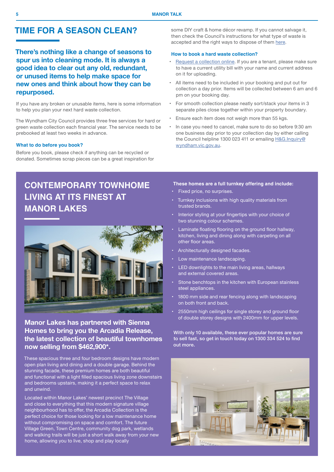## **TIME FOR A SEASON CLEAN?**

**There's nothing like a change of seasons to spur us into cleaning mode. It is always a good idea to clear out any old, redundant, or unused items to help make space for new ones and think about how they can be repurposed.**

If you have any broken or unusable items, here is some information to help you plan your next hard waste collection.

The Wyndham City Council provides three free services for hard or green waste collection each financial year. The service needs to be prebooked at least two weeks in advance.

#### **What to do before you book?**

Before you book, please check if anything can be recycled or donated. Sometimes scrap pieces can be a great inspiration for some DIY craft & home décor revamp. If you cannot salvage it, then check the Council's instructions for what type of waste is accepted and the right ways to dispose of them here.

#### **How to book a hard waste collection?**

- Request a collection online. If you are a tenant, please make sure to have a current utility bill with your name and current address on it for uploading.
- All items need to be included in your booking and put out for collection a day prior. Items will be collected between 6 am and 6 pm on your booking day.
- For smooth collection please neatly sort/stack your items in 3 separate piles close together within your property boundary.
- Ensure each item does not weigh more than 55 kgs.
- In case you need to cancel, make sure to do so before 9:30 am one business day prior to your collection day by either calling the Council helpline 1300 023 411 or emailing H&G.Inquiry@ wyndham.vic.gov.au.

# **CONTEMPORARY TOWNHOME LIVING AT ITS FINEST AT MANOR LAKES**



## **Manor Lakes has partnered with Sienna Homes to bring you the Arcadia Release, the latest collection of beautiful townhomes now selling from \$462,900\*.**

These spacious three and four bedroom designs have modern open plan living and dining and a double garage. Behind the stunning facade, these premium homes are both beautiful and functional with a light filled spacious living zone downstairs and bedrooms upstairs, making it a perfect space to relax and unwind.

Located within Manor Lakes' newest precinct The Village and close to everything that this modern signature village neighbourhood has to offer, the Arcadia Collection is the perfect choice for those looking for a low maintenance home without compromising on space and comfort. The future Village Green, Town Centre, community dog park, wetlands and walking trails will be just a short walk away from your new home, allowing you to live, shop and play locally

#### **These homes are a full turnkey offering and include:**

- Fixed price, no surprises.
- Turnkey inclusions with high quality materials from trusted brands.
- Interior styling at your fingertips with your choice of two stunning colour schemes.
- Laminate floating flooring on the ground floor hallway, kitchen, living and dining along with carpeting on all other floor areas.
- Architecturally designed facades.
- Low maintenance landscaping.
- LED downlights to the main living areas, hallways and external covered areas.
- Stone benchtops in the kitchen with European stainless steel appliances.
- 1800 mm side and rear fencing along with landscaping on both front and back.
- 2550mm high ceilings for single storey and ground floor of double storey designs with 2400mm for upper levels.

With only 10 available, these ever popular homes are sure to sell fast, so get in touch today on 1300 334 524 to find out more.

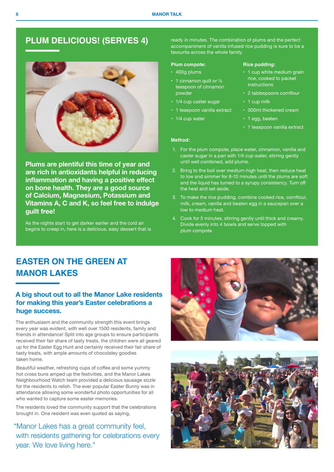## **PLUM DELICIOUS! (SERVES 4)**



**Plums are plentiful this time of year and are rich in antioxidants helpful in reducing inflammation and having a positive effect on bone health. They are a good source of Calcium, Magnesium, Potassium and Vitamins A, C and K, so feel free to indulge guilt free!**

As the nights start to get darker earlier and the cold air begins to creep in, here is a delicious, easy dessert that is ready in minutes. The combination of plums and the perfect accompaniment of vanilla infused rice pudding is sure to be a favourite across the whole family.

**Rice pudding:** 

instructions

• 1 egg, beaten

• 1 cup milk

## **Plum compote:**

- 400g plums
- $\cdot$  1 cinnamon quill or  $\frac{1}{4}$ teaspoon of cinnamon powder
- 1/4 cup caster sugar
- 1 teaspoon vanilla extract
- 1/4 cup water
- 1 teaspoon vanilla extract

• 1 cup white medium grain rice, cooked to packet

• 2 tablespoons cornflour

• 300ml thickened cream

#### **Method:**

- 1. For the plum compote, place water, cinnamon, vanilla and caster sugar in a pan with 1/4 cup water, stirring gently until well combined, add plums.
- 2. Bring to the boil over medium-high heat, then reduce heat to low and simmer for 8-10 minutes until the plums are soft and the liquid has turned to a syrupy consistency. Turn off the heat and set aside.
- 3. To make the rice pudding, combine cooked rice, cornflour, milk, cream, vanilla and beaten egg in a saucepan over a low to medium heat.
- 4. Cook for 5 minutes, stirring gently until thick and creamy. Divide evenly into 4 bowls and serve topped with plum compote.

# **EASTER ON THE GREEN AT MANOR LAKES**

## **A big shout out to all the Manor Lake residents for making this year's Easter celebrations a huge success.**

The enthusiasm and the community strength this event brings every year was evident, with well over 1500 residents, family and friends in attendance! Split into age groups to ensure participants received their fair share of tasty treats, the children were all geared up for the Easter Egg Hunt and certainly received their fair share of tasty treats, with ample amounts of chocolatey goodies taken home.

Beautiful weather, refreshing cups of coffee and some yummy hot cross buns amped up the festivities, and the Manor Lakes Neighbourhood Watch team provided a delicious sausage sizzle for the residents to relish. The ever popular Easter Bunny was in attendance allowing some wonderful photo opportunities for all who wanted to capture some easter memories.

The residents loved the community support that the celebrations brought in. One resident was even quoted as saying,

"Manor Lakes has a great community feel, with residents gathering for celebrations every year. We love living here."



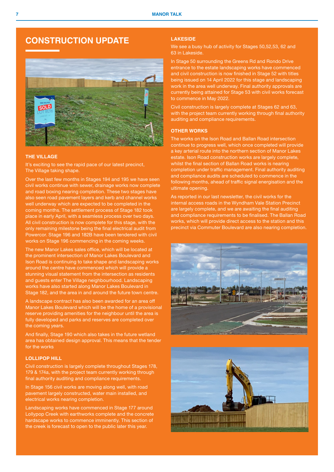## **CONSTRUCTION UPDATE**



## **THE VILLAGE**

It's exciting to see the rapid pace of our latest precinct, The Village taking shape.

Over the last few months in Stages 194 and 195 we have seen civil works continue with sewer, drainage works now complete and road boxing nearing completion. These two stages have also seen road pavement layers and kerb and channel works well underway which are expected to be completed in the coming months. The settlement process of Stage 182 took place in early April, with a seamless process over two days. All civil construction is now complete for this stage, with the only remaining milestone being the final electrical audit from Powercor. Stage 196 and 182B have been tendered with civil works on Stage 196 commencing in the coming weeks.

The new Manor Lakes sales office, which will be located at the prominent intersection of Manor Lakes Boulevard and Ison Road is continuing to take shape and landscaping works around the centre have commenced which will provide a stunning visual statement from the intersection as residents and guests enter The Village neighbourhood. Landscaping works have also started along Manor Lakes Boulevard in Stage 182, and the area in and around the future town centre.

A landscape contract has also been awarded for an area off Manor Lakes Boulevard which will be the home of a provisional reserve providing amenities for the neighbour until the area is fully developed and parks and reserves are completed over the coming years.

And finally, Stage 190 which also takes in the future wetland area has obtained design approval. This means that the tender for the works

## **LOLLIPOP HILL**

Civil construction is largely complete throughout Stages 178, 179 & 174a, with the project team currently working through final authority auditing and compliance requirements.

In Stage 156 civil works are moving along well, with road pavement largely constructed, water main installed, and electrical works nearing completion.

Landscaping works have commenced in Stage 177 around Lollypop Creek with earthworks complete and the concrete hardscape works to commence imminently. This section of the creek is forecast to open to the public later this year.

## **LAKESIDE**

We see a busy hub of activity for Stages 50,52,53, 62 and 63 in Lakeside.

In Stage 50 surrounding the Greens Rd and Rondo Drive entrance to the estate landscaping works have commenced and civil construction is now finished in Stage 52 with titles being issued on 14 April 2022 for this stage and landscaping work in the area well underway. Final authority approvals are currently being attained for Stage 53 with civil works forecast to commence in May 2022.

Civil construction is largely complete at Stages 62 and 63, with the project team currently working through final authority auditing and compliance requirements.

#### **OTHER WORKS**

The works on the Ison Road and Ballan Road intersection continue to progress well, which once completed will provide a key arterial route into the northern section of Manor Lakes estate. Ison Road construction works are largely complete, whilst the final section of Ballan Road works is nearing completion under traffic management. Final authority auditing and compliance audits are scheduled to commence in the following months, ahead of traffic signal energisation and the ultimate opening.

As reported in our last newsletter, the civil works for the internal access roads in the Wyndham Vale Station Precinct are largely complete, and we are awaiting the final auditing and compliance requirements to be finalised. The Ballan Road works, which will provide direct access to the station and this precinct via Commuter Boulevard are also nearing completion.